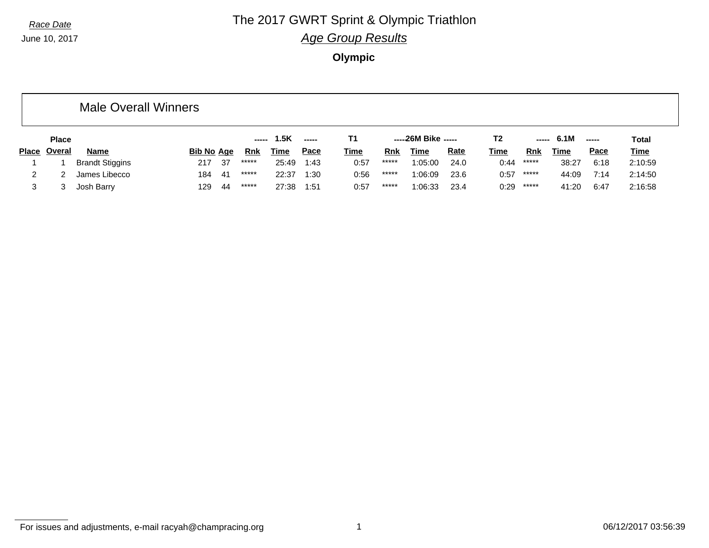#### **Race Date The 2017 GWRT Sprint & Olympic Triathlon** *Age Group Results*

**Olympic**

|              |              | <b>Male Overall Winners</b> |                   |     |         |             |             |             |            |                     |             |                |       |             |             |             |
|--------------|--------------|-----------------------------|-------------------|-----|---------|-------------|-------------|-------------|------------|---------------------|-------------|----------------|-------|-------------|-------------|-------------|
|              | <b>Place</b> |                             |                   |     | -----   | 1.5K        | -----       | T1          |            | -----26M Bike ----- |             | T <sub>2</sub> | ----- | 6.1M        | ------      | Total       |
| <b>Place</b> | Overal       | <b>Name</b>                 | <b>Bib No Age</b> |     | Rnk     | <u>Time</u> | <u>Pace</u> | <b>Time</b> | <b>Rnk</b> | Time                | <b>Rate</b> | <u>Time</u>    | Rnk   | <u>Time</u> | <b>Pace</b> | <b>Time</b> |
|              |              | <b>Brandt Stiggins</b>      | 217               | -37 | *****   | 25:49       | 1:43        | 0:57        | *****      | 1:05:00             | 24.0        | 0:44           | ***** | 38:27       | 6:18        | 2:10:59     |
|              |              | James Libecco               | 184               | -41 | $*****$ | 22:37       | 1:30        | 0:56        | *****      | 1:06:09             | 23.6        | 0:57           | ***** | 44:09       | 7:14        | 2:14:50     |
|              |              | Josh Barry                  | 129               | -44 | *****   | 27:38       | 1:51        | 0:57        | *****      | 1:06:33             | 23.4        | 0:29           | ***** | 41:20       | 6:47        | 2:16:58     |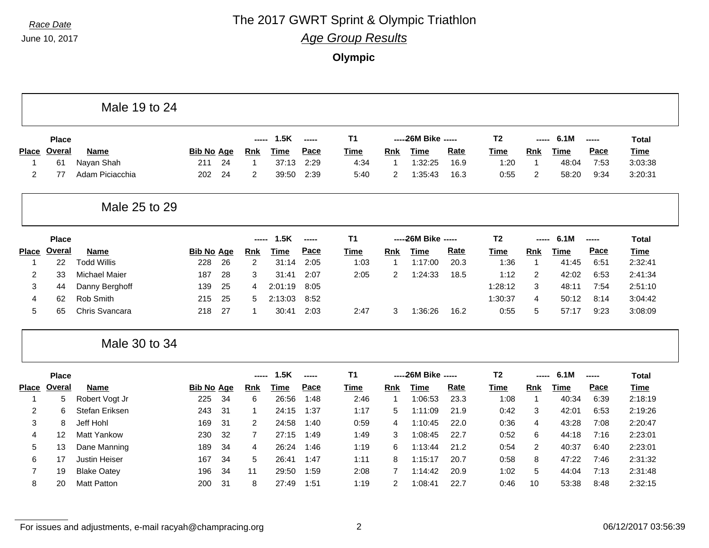Г

#### **Race Date The 2017 GWRT Sprint & Olympic Triathlon**

*Age Group Results*

**Olympic**

|                         |               | Male 19 to 24        |                   |    |                |             |        |                |                |                    |      |                |                |             |       |              |
|-------------------------|---------------|----------------------|-------------------|----|----------------|-------------|--------|----------------|----------------|--------------------|------|----------------|----------------|-------------|-------|--------------|
|                         | <b>Place</b>  |                      |                   |    | ------         | 1.5K        | -----  | T <sub>1</sub> |                | ----26M Bike ----- |      | <b>T2</b>      | -----          | 6.1M        | ----- | <b>Total</b> |
| <b>Place</b>            | <b>Overal</b> | <b>Name</b>          | <b>Bib No Age</b> |    | Rnk            | Time        | Pace   | <b>Time</b>    | Rnk            | Time               | Rate | <b>Time</b>    | <b>Rnk</b>     | <b>Time</b> | Pace  | <b>Time</b>  |
| 1                       | 61            | Nayan Shah           | 211               | 24 | 1              | 37:13       | 2:29   | 4:34           | -1             | 1:32:25            | 16.9 | 1:20           | $\overline{1}$ | 48:04       | 7:53  | 3:03:38      |
| 2                       | 77            | Adam Piciacchia      | 202               | 24 | $\overline{2}$ | 39:50       | 2:39   | 5:40           | $\overline{c}$ | 1:35:43            | 16.3 | 0:55           | $\overline{c}$ | 58:20       | 9:34  | 3:20:31      |
|                         |               | Male 25 to 29        |                   |    |                |             |        |                |                |                    |      |                |                |             |       |              |
|                         | <b>Place</b>  |                      |                   |    |                | 1.5K        | -----  | T <sub>1</sub> |                | ----26M Bike ----- |      | T <sub>2</sub> |                | 6.1M        | ----- | <b>Total</b> |
| <b>Place</b>            | Overal        | <b>Name</b>          | <b>Bib No Age</b> |    | <b>Rnk</b>     | <b>Time</b> | Pace   | <b>Time</b>    | Rnk            | <b>Time</b>        | Rate | <b>Time</b>    | Rnk            | <b>Time</b> | Pace  | <b>Time</b>  |
| 1                       | 22            | <b>Todd Willis</b>   | 228               | 26 | 2              | 31:14       | 2:05   | 1:03           | -1             | 1:17:00            | 20.3 | 1:36           | $\overline{1}$ | 41:45       | 6:51  | 2:32:41      |
| $\overline{\mathbf{c}}$ | 33            | <b>Michael Maier</b> | 187               | 28 | 3              | 31:41       | 2:07   | 2:05           | $\overline{c}$ | 1:24:33            | 18.5 | 1:12           | $\overline{c}$ | 42:02       | 6:53  | 2:41:34      |
| 3                       | 44            | Danny Berghoff       | 139               | 25 | 4              | 2:01:19     | 8:05   |                |                |                    |      | 1:28:12        | 3              | 48:11       | 7:54  | 2:51:10      |
| 4                       | 62            | Rob Smith            | 215               | 25 | 5              | 2:13:03     | 8:52   |                |                |                    |      | 1:30:37        | 4              | 50:12       | 8:14  | 3:04:42      |
| 5                       | 65            | Chris Svancara       | 218               | 27 | 1              | 30:41       | 2:03   | 2:47           | 3              | 1:36:26            | 16.2 | 0:55           | 5              | 57:17       | 9:23  | 3:08:09      |
|                         |               | Male 30 to 34        |                   |    |                |             |        |                |                |                    |      |                |                |             |       |              |
|                         | <b>Place</b>  |                      |                   |    |                | 1.5K        | ------ | T <sub>1</sub> |                | ----26M Bike ----- |      | T <sub>2</sub> |                | 6.1M        | ----- | <b>Total</b> |
| <b>Place</b>            | Overal        | <b>Name</b>          | <b>Bib No Age</b> |    | <b>Rnk</b>     | <b>Time</b> | Pace   | <b>Time</b>    | Rnk            | <b>Time</b>        | Rate | <b>Time</b>    | Rnk            | <b>Time</b> | Pace  | <b>Time</b>  |
| 1                       | 5             | Robert Vogt Jr       | 225               | 34 | 6              | 26:56       | 1:48   | 2:46           | -1             | 1:06:53            | 23.3 | 1:08           | $\overline{1}$ | 40:34       | 6:39  | 2:18:19      |
| 2                       | հ             | Stefan Eriksen       | 243               | 31 | 1              | 24:15       | 1:37   | 1:17           | 5              | 1:11:09            | 21.9 | 0:42           | 3              | 42:01       | 6:53  | 2:19:26      |
| 3                       | 8             | Jeff Hohl            | 169               | 31 | 2              | 24:58       | 1:40   | 0:59           | 4              | 1:10:45            | 22.0 | 0:36           | $\overline{4}$ | 43:28       | 7:08  | 2:20:47      |
| 4                       | 12            | Matt Yankow          | 230               | 32 | 7              | 27:15       | 1:49   | 1:49           | 3              | 1:08:45            | 22.7 | 0:52           | 6              | 44:18       | 7:16  | 2:23:01      |
| 5                       | 13            | Dane Manning         | 189               | 34 | 4              | 26:24       | 1:46   | 1:19           | 6              | 1:13:44            | 21.2 | 0:54           | 2              | 40:37       | 6:40  | 2:23:01      |
| 6                       | 17            | <b>Justin Heiser</b> | 167               | 34 | 5              | 26:41       | 1:47   | 1:11           | 8              | 1:15:17            | 20.7 | 0:58           | 8              | 47:22       | 7:46  | 2:31:32      |
|                         |               |                      |                   |    |                |             |        |                |                |                    |      |                |                |             |       |              |
| $\overline{7}$          | 19            | <b>Blake Oatey</b>   | 196               | 34 | 11             | 29:50       | 1:59   | 2:08           | $\overline{7}$ | 1:14:42            | 20.9 | 1:02           | 5              | 44:04       | 7:13  | 2:31:48      |

For issues and adjustments, e-mail racyah@champracing.org 2 2 06/12/2017 03:56:39

п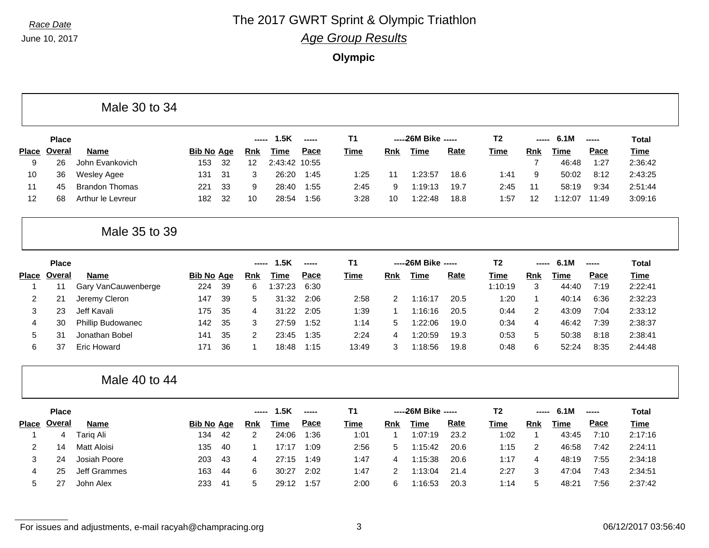## **Race Date The 2017 GWRT Sprint & Olympic Triathlon**

*Age Group Results*

**Olympic**

|              |               | Male 30 to 34         |                   |    |             |               |       |             |              |                      |      |                |                |             |       |              |
|--------------|---------------|-----------------------|-------------------|----|-------------|---------------|-------|-------------|--------------|----------------------|------|----------------|----------------|-------------|-------|--------------|
|              | <b>Place</b>  |                       |                   |    | -----       | 1.5K          | ----- | T1          |              | ----- 26M Bike ----- |      | T <sub>2</sub> | ------         | 6.1M        | ----- | <b>Total</b> |
| <b>Place</b> | Overal        | Name                  | <b>Bib No Age</b> |    | <b>Rnk</b>  | Time          | Pace  | <b>Time</b> | <b>Rnk</b>   | <b>Time</b>          | Rate | <b>Time</b>    | <b>Rnk</b>     | <b>Time</b> | Pace  | <b>Time</b>  |
| 9            | 26            | John Evankovich       | 153               | 32 | 12          | 2:43:42 10:55 |       |             |              |                      |      |                | $\overline{7}$ | 46:48       | 1:27  | 2:36:42      |
| 10           | 36            | <b>Wesley Agee</b>    | 131               | 31 | 3           | 26:20         | 1:45  | 1:25        | 11           | 1:23:57              | 18.6 | 1:41           | 9              | 50:02       | 8:12  | 2:43:25      |
| 11           | 45            | <b>Brandon Thomas</b> | 221               | 33 | 9           | 28:40         | 1:55  | 2:45        | 9            | 1:19:13              | 19.7 | 2:45           | 11             | 58:19       | 9:34  | 2:51:44      |
| 12           | 68            | Arthur le Levreur     | 182               | 32 | 10          | 28:54         | 1:56  | 3:28        | 10           | 1:22:48              | 18.8 | 1:57           | 12             | 1:12:07     | 11:49 | 3:09:16      |
|              |               | Male 35 to 39         |                   |    |             |               |       |             |              |                      |      |                |                |             |       |              |
|              | <b>Place</b>  |                       |                   |    | -----       | 1.5K          | ----- | T1          |              | ----26M Bike -----   |      | T <sub>2</sub> |                | 6.1M        | ----- | <b>Total</b> |
| <b>Place</b> | <b>Overal</b> | <b>Name</b>           | <b>Bib No Age</b> |    | <b>Rnk</b>  | <b>Time</b>   | Pace  | <b>Time</b> | Rnk          | <b>Time</b>          | Rate | <b>Time</b>    | Rnk            | <b>Time</b> | Pace  | <b>Time</b>  |
| $\mathbf{1}$ | 11            | Gary VanCauwenberge   | 224               | 39 | 6           | 1:37:23       | 6:30  |             |              |                      |      | 1:10:19        | 3              | 44:40       | 7:19  | 2:22:41      |
| 2            | 21            | Jeremy Cleron         | 147               | 39 | 5           | 31:32         | 2:06  | 2:58        | 2            | 1:16:17              | 20.5 | 1:20           | $\mathbf{1}$   | 40:14       | 6:36  | 2:32:23      |
| 3            | 23            | Jeff Kavali           | 175               | 35 | 4           | 31:22         | 2:05  | 1:39        | $\mathbf{1}$ | 1:16:16              | 20.5 | 0:44           | 2              | 43:09       | 7:04  | 2:33:12      |
| 4            | 30            | Phillip Budowanec     | 142               | 35 | 3           | 27:59         | 1:52  | 1:14        | 5            | 1:22:06              | 19.0 | 0:34           | 4              | 46:42       | 7:39  | 2:38:37      |
| 5            | 31            | Jonathan Bobel        | 141               | 35 | 2           | 23:45         | 1:35  | 2:24        | 4            | 1:20:59              | 19.3 | 0:53           | 5              | 50:38       | 8:18  | 2:38:41      |
| 6            | 37            | <b>Eric Howard</b>    | 171               | 36 | $\mathbf 1$ | 18:48         | 1:15  | 13:49       | 3            | 1:18:56              | 19.8 | 0:48           | 6              | 52:24       | 8:35  | 2:44:48      |
|              |               | Male 40 to 44         |                   |    |             |               |       |             |              |                      |      |                |                |             |       |              |
|              | <b>Place</b>  |                       |                   |    | ----        | 1.5K          | ----- | T1          |              | ----- 26M Bike ----- |      | T <sub>2</sub> |                | 6.1M        | ----- | <b>Total</b> |
| <b>Place</b> | Overal        | Name                  | <b>Bib No Age</b> |    | <b>Rnk</b>  | <b>Time</b>   | Pace  | <b>Time</b> | Rnk          | <b>Time</b>          | Rate | <b>Time</b>    | Rnk            | <b>Time</b> | Pace  | <b>Time</b>  |
| $\mathbf 1$  | 4             | <b>Tariq Ali</b>      | 134               | 42 | 2           | 24:06         | 1:36  | 1:01        | $\mathbf 1$  | 1:07:19              | 23.2 | 1:02           | 1              | 43:45       | 7:10  | 2:17:16      |
| 2            | 14            | <b>Matt Aloisi</b>    | 135               | 40 | $\mathbf 1$ | 17:17         | 1:09  | 2:56        | 5            | 1:15:42              | 20.6 | 1:15           | 2              | 46:58       | 7:42  | 2:24:11      |
| 3            | 24            | Josiah Poore          | 203               | 43 | 4           | 27:15         | 1:49  | 1:47        | 4            | 1:15:38              | 20.6 | 1:17           | 4              | 48:19       | 7:55  | 2:34:18      |
| 4            | 25            | <b>Jeff Grammes</b>   | 163               | 44 | 6           | 30:27         | 2:02  | 1:47        | 2            | 1:13:04              | 21.4 | 2:27           | 3              | 47:04       | 7:43  | 2:34:51      |
| 5            | 27            | John Alex             | 233               | 41 | 5           | 29:12         | 1:57  | 2:00        | 6            | 1:16:53              | 20.3 | 1:14           | 5              | 48:21       | 7:56  | 2:37:42      |

For issues and adjustments, e-mail racyah@champracing.org 3 3 06/12/2017 03:56:40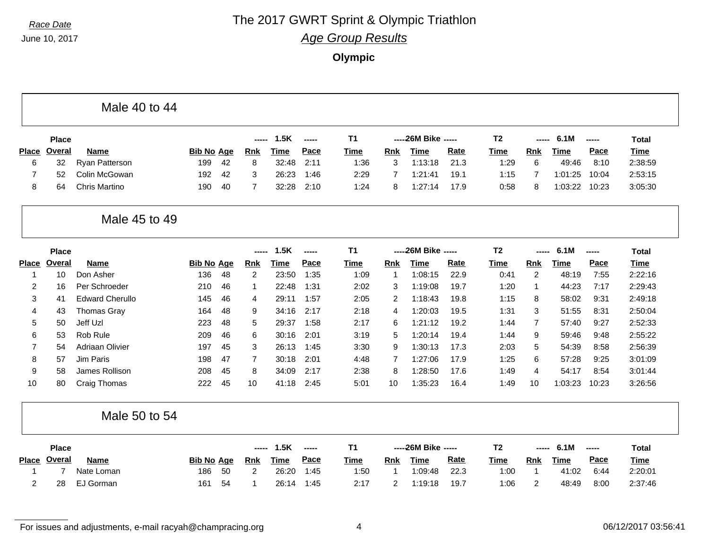### **Race Date The 2017 GWRT Sprint & Olympic Triathlon**

*Age Group Results*

**Olympic**

|                |                 | Male 40 to 44          |                   |    |                |             |                          |                |                |                      |             |                |                |             |             |              |
|----------------|-----------------|------------------------|-------------------|----|----------------|-------------|--------------------------|----------------|----------------|----------------------|-------------|----------------|----------------|-------------|-------------|--------------|
|                | <b>Place</b>    |                        |                   |    | -----          | 1.5K        | $\overline{\phantom{a}}$ | T <sub>1</sub> |                | ----- 26M Bike ----- |             | T <sub>2</sub> | -----          | 6.1M        | -----       | <b>Total</b> |
| <b>Place</b>   | <b>Overal</b>   | <b>Name</b>            | <b>Bib No Age</b> |    | <b>Rnk</b>     | <b>Time</b> | Pace                     | <b>Time</b>    | Rnk            | <b>Time</b>          | <b>Rate</b> | <b>Time</b>    | <b>Rnk</b>     | <b>Time</b> | Pace        | <b>Time</b>  |
| 6              | 32              | Ryan Patterson         | 199               | 42 | 8              | 32:48       | 2:11                     | 1:36           | 3              | 1:13:18              | 21.3        | 1:29           | 6              | 49:46       | 8:10        | 2:38:59      |
| 7              | 52              | Colin McGowan          | 192               | 42 | 3              | 26:23       | 1:46                     | 2:29           | $\overline{7}$ | 1:21:41              | 19.1        | 1:15           | $\overline{7}$ | 1:01:25     | 10:04       | 2:53:15      |
| 8              | 64              | <b>Chris Martino</b>   | 190               | 40 | $\overline{7}$ | 32:28       | 2:10                     | 1:24           | 8              | 1:27:14              | 17.9        | 0:58           | 8              | 1:03:22     | 10:23       | 3:05:30      |
|                |                 | Male 45 to 49          |                   |    |                |             |                          |                |                |                      |             |                |                |             |             |              |
|                | <b>Place</b>    |                        |                   |    | $- - - -$      | 1.5K        | $\overline{\phantom{a}}$ | T <sub>1</sub> |                | ----26M Bike -----   |             | T <sub>2</sub> | -----          | 6.1M        | -----       | <b>Total</b> |
| <b>Place</b>   | <b>Overal</b>   | Name                   | <b>Bib No Age</b> |    | <b>Rnk</b>     | <b>Time</b> | Pace                     | <b>Time</b>    | <b>Rnk</b>     | <b>Time</b>          | <b>Rate</b> | Time           | Rnk            | <b>Time</b> | Pace        | <b>Time</b>  |
| -1             | 10 <sup>1</sup> | Don Asher              | 136               | 48 | 2              | 23:50       | 1:35                     | 1:09           | -1             | 1:08:15              | 22.9        | 0:41           | 2              | 48:19       | 7:55        | 2:22:16      |
| $\overline{2}$ | 16              | Per Schroeder          | 210               | 46 | -1             | 22:48       | 1:31                     | 2:02           | 3              | 1:19:08              | 19.7        | 1:20           | 1              | 44:23       | 7:17        | 2:29:43      |
| 3              | 41              | <b>Edward Cherullo</b> | 145               | 46 | 4              | 29:11       | 1:57                     | 2:05           | 2              | 1:18:43              | 19.8        | 1:15           | 8              | 58:02       | 9:31        | 2:49:18      |
| 4              | 43              | <b>Thomas Gray</b>     | 164               | 48 | 9              | 34:16       | 2:17                     | 2:18           | 4              | 1:20:03              | 19.5        | 1:31           | 3              | 51:55       | 8:31        | 2:50:04      |
| 5              | 50              | Jeff Uzl               | 223               | 48 | 5              | 29:37       | 1:58                     | 2:17           | 6              | 1:21:12              | 19.2        | 1:44           | $\overline{7}$ | 57:40       | 9:27        | 2:52:33      |
| 6              | 53              | Rob Rule               | 209               | 46 | 6              | 30:16       | 2:01                     | 3:19           | 5              | 1:20:14              | 19.4        | 1:44           | 9              | 59:46       | 9:48        | 2:55:22      |
| 7              | 54              | <b>Adriaan Olivier</b> | 197               | 45 | 3              | 26:13       | 1:45                     | 3:30           | 9              | 1:30:13              | 17.3        | 2:03           | 5              | 54:39       | 8:58        | 2:56:39      |
| 8              | 57              | Jim Paris              | 198               | 47 | $\overline{7}$ | 30:18       | 2:01                     | 4:48           | $\overline{7}$ | 1:27:06              | 17.9        | 1:25           | 6              | 57:28       | 9:25        | 3:01:09      |
| 9              | 58              | James Rollison         | 208               | 45 | 8              | 34:09       | 2:17                     | 2:38           | 8              | 1:28:50              | 17.6        | 1:49           | 4              | 54:17       | 8:54        | 3:01:44      |
| 10             | 80              | Craig Thomas           | 222               | 45 | 10             | 41:18       | 2:45                     | 5:01           | 10             | 1:35:23              | 16.4        | 1:49           | 10             | 1:03:23     | 10:23       | 3:26:56      |
|                |                 | Male 50 to 54          |                   |    |                |             |                          |                |                |                      |             |                |                |             |             |              |
|                | <b>Place</b>    |                        |                   |    | $- - - -$      | 1.5K        | -----                    | T <sub>1</sub> |                | ----26M Bike -----   |             | T <sub>2</sub> | ----           | 6.1M        | -----       | Total        |
| <b>Place</b>   | Overal          | <b>Name</b>            | <b>Bib No Age</b> |    | <b>Rnk</b>     | <b>Time</b> | Pace                     | <b>Time</b>    | Rnk            | <b>Time</b>          | <b>Rate</b> | Time           | <b>Rnk</b>     | <b>Time</b> | <b>Pace</b> | <b>Time</b>  |
| 1              | $\overline{7}$  | Nate Loman             | 186               | 50 | $\overline{2}$ | 26:20       | 1:45                     | 1:50           | $\overline{1}$ | 1:09:48              | 22.3        | 1:00           | $\mathbf{1}$   | 41:02       | 6:44        | 2:20:01      |
| $\overline{2}$ | 28              | EJ Gorman              | 161               | 54 | 1              | 26:14       | 1:45                     | 2:17           | 2              | 1:19:18              | 19.7        | 1:06           | 2              | 48:49       | 8:00        | 2:37:46      |

For issues and adjustments, e-mail racyah@champracing.org 4 06/12/2017 03:56:41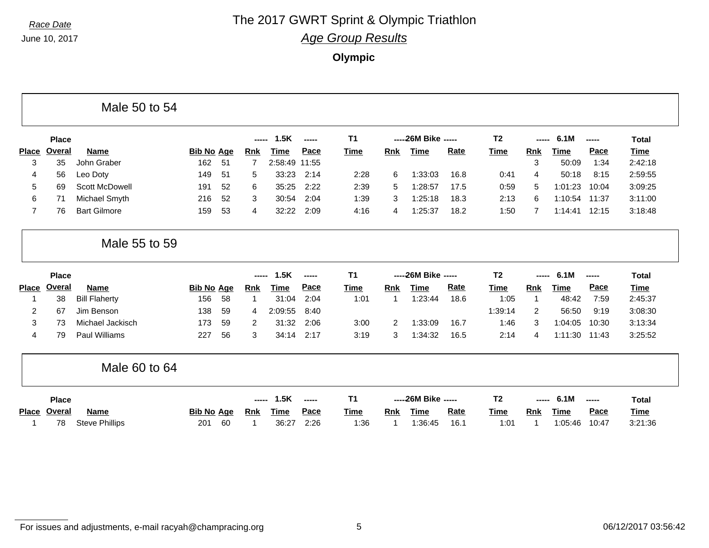# **Race Date The 2017 GWRT Sprint & Olympic Triathlon**

*Age Group Results*

**Olympic**

|                |              | Male 50 to 54         |                   |    |                |             |        |             |                |                      |             |                |                |             |       |              |
|----------------|--------------|-----------------------|-------------------|----|----------------|-------------|--------|-------------|----------------|----------------------|-------------|----------------|----------------|-------------|-------|--------------|
|                | <b>Place</b> |                       |                   |    | -----          | 1.5K        | ------ | <b>T1</b>   |                | ----26M Bike -----   |             | T <sub>2</sub> | -----          | 6.1M        | ----- | <b>Total</b> |
| <b>Place</b>   | Overal       | <b>Name</b>           | <b>Bib No Age</b> |    | <u>Rnk</u>     | Time        | Pace   | <b>Time</b> | <b>Rnk</b>     | <b>Time</b>          | <b>Rate</b> | <b>Time</b>    | <b>Rnk</b>     | Time        | Pace  | Time         |
| 3              | 35           | John Graber           | 162               | 51 | 7              | 2:58:49     | 11:55  |             |                |                      |             |                | 3              | 50:09       | 1:34  | 2:42:18      |
| 4              | 56           | Leo Doty              | 149               | 51 | 5              | 33:23       | 2:14   | 2:28        | 6              | 1:33:03              | 16.8        | 0:41           | 4              | 50:18       | 8:15  | 2:59:55      |
| 5              | 69           | <b>Scott McDowell</b> | 191               | 52 | 6              | 35:25       | 2:22   | 2:39        | 5              | 1:28:57              | 17.5        | 0:59           | 5              | 1:01:23     | 10:04 | 3:09:25      |
| 6              | 71           | Michael Smyth         | 216               | 52 | 3              | 30:54       | 2:04   | 1:39        | 3              | 1:25:18              | 18.3        | 2:13           | 6              | 1:10:54     | 11:37 | 3:11:00      |
| $\overline{7}$ | 76           | <b>Bart Gilmore</b>   | 159               | 53 | 4              | 32:22       | 2:09   | 4:16        | 4              | 1:25:37              | 18.2        | 1:50           | $\overline{7}$ | 1:14:41     | 12:15 | 3:18:48      |
|                |              | Male 55 to 59         |                   |    |                |             |        |             |                |                      |             |                |                |             |       |              |
|                | <b>Place</b> |                       |                   |    | -----          | 1.5K        | -----  | <b>T1</b>   |                | ----- 26M Bike ----- |             | T <sub>2</sub> |                | 6.1M        | ----- | <b>Total</b> |
| <b>Place</b>   | Overal       | <b>Name</b>           | <b>Bib No Age</b> |    | <b>Rnk</b>     | Time        | Pace   | <b>Time</b> | <b>Rnk</b>     | <b>Time</b>          | Rate        | <b>Time</b>    | <b>Rnk</b>     | <b>Time</b> | Pace  | Time         |
|                | 38           | <b>Bill Flaherty</b>  | 156               | 58 | $\overline{1}$ | 31:04       | 2:04   | 1:01        | -1             | 1:23:44              | 18.6        | 1:05           | $\mathbf{1}$   | 48:42       | 7:59  | 2:45:37      |
| 2              | 67           | Jim Benson            | 138               | 59 | 4              | 2:09:55     | 8:40   |             |                |                      |             | 1:39:14        | 2              | 56:50       | 9:19  | 3:08:30      |
| 3              | 73           | Michael Jackisch      | 173               | 59 | $\overline{2}$ | 31:32       | 2:06   | 3:00        | $\overline{2}$ | 1:33:09              | 16.7        | 1:46           | 3              | 1:04:05     | 10:30 | 3:13:34      |
| 4              | 79           | <b>Paul Williams</b>  | 227               | 56 | 3              | 34:14       | 2:17   | 3:19        | 3              | 1:34:32              | 16.5        | 2:14           | 4              | 1:11:30     | 11:43 | 3:25:52      |
|                |              | Male 60 to 64         |                   |    |                |             |        |             |                |                      |             |                |                |             |       |              |
|                | <b>Place</b> |                       |                   |    | -----          | 1.5K        | -----  | <b>T1</b>   |                | ----26M Bike -----   |             | T <sub>2</sub> | -----          | 6.1M        | ----- | <b>Total</b> |
| <b>Place</b>   | Overal       | Name                  | <b>Bib No Age</b> |    | <b>Rnk</b>     | <b>Time</b> | Pace   | <b>Time</b> | <b>Rnk</b>     | <b>Time</b>          | <b>Rate</b> | <b>Time</b>    | <b>Rnk</b>     | <b>Time</b> | Pace  | Time         |
|                |              |                       |                   |    |                |             |        |             |                |                      |             |                |                |             |       |              |

For issues and adjustments, e-mail racyah@champracing.org 5 6 06/12/2017 03:56:42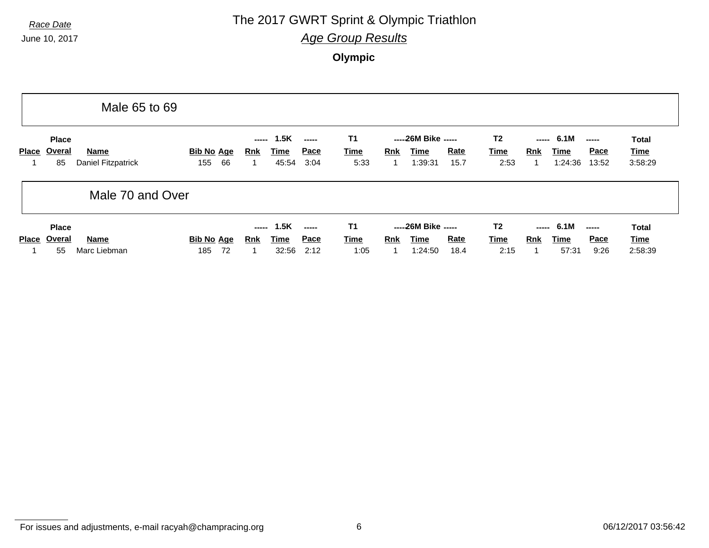#### **Race Date The 2017 GWRT Sprint & Olympic Triathlon**

*Age Group Results*

**Olympic**

|              |                              | Male 65 to 69                     |                                |                     |                              |                               |                           |          |                                               |              |                                       |            |                               |                                                                                                                                                                                                                                                                                                                                                                                                                                                                                                                   |                                 |
|--------------|------------------------------|-----------------------------------|--------------------------------|---------------------|------------------------------|-------------------------------|---------------------------|----------|-----------------------------------------------|--------------|---------------------------------------|------------|-------------------------------|-------------------------------------------------------------------------------------------------------------------------------------------------------------------------------------------------------------------------------------------------------------------------------------------------------------------------------------------------------------------------------------------------------------------------------------------------------------------------------------------------------------------|---------------------------------|
| <b>Place</b> | <b>Place</b><br>Overal<br>85 | <b>Name</b><br>Daniel Fitzpatrick | <b>Bib No Age</b><br>66<br>155 | -----<br><b>Rnk</b> | 1.5K<br><b>Time</b><br>45:54 | -----<br>Pace<br>3:04         | T1<br><b>Time</b><br>5:33 | Rnk<br>1 | -----26M Bike -----<br>Time<br>1:39:31        | Rate<br>15.7 | T <sub>2</sub><br><u>Time</u><br>2:53 | <b>Rnk</b> | $--- 6.1M$<br>Time<br>1:24:36 | $\begin{array}{c} \multicolumn{3}{c}{} & \multicolumn{3}{c}{} & \multicolumn{3}{c}{} \\ \multicolumn{3}{c}{} & \multicolumn{3}{c}{} & \multicolumn{3}{c}{} & \multicolumn{3}{c}{} \\ \multicolumn{3}{c}{} & \multicolumn{3}{c}{} & \multicolumn{3}{c}{} & \multicolumn{3}{c}{} \\ \multicolumn{3}{c}{} & \multicolumn{3}{c}{} & \multicolumn{3}{c}{} & \multicolumn{3}{c}{} \\ \multicolumn{3}{c}{} & \multicolumn{3}{c}{} & \multicolumn{3}{c}{} & \multicolumn{3}{c}{} \\ \multicolumn$<br><b>Pace</b><br>13:52 | <b>Total</b><br>Time<br>3:58:29 |
|              |                              | Male 70 and Over                  |                                |                     |                              |                               |                           |          |                                               |              |                                       |            |                               |                                                                                                                                                                                                                                                                                                                                                                                                                                                                                                                   |                                 |
| <b>Place</b> | <b>Place</b><br>Overal<br>55 | <b>Name</b><br>Marc Liebman       | <b>Bib No Age</b><br>72<br>185 | -----<br>Rnk        | 1.5K<br><u>Time</u><br>32:56 | $\frac{1}{2}$<br>Pace<br>2:12 | T1<br><b>Time</b><br>1:05 | Rnk      | -----26M Bike -----<br><b>Time</b><br>1:24:50 | Rate<br>18.4 | T <sub>2</sub><br>Time<br>2:15        | Rnk        | $--- 6.1M$<br>Time<br>57:31   | <b>Pace</b><br>9:26                                                                                                                                                                                                                                                                                                                                                                                                                                                                                               | <b>Total</b><br>Time<br>2:58:39 |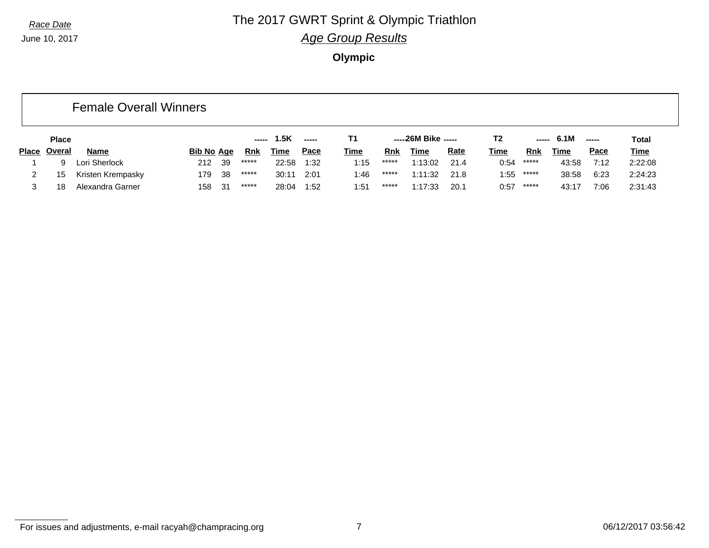#### **Race Date The 2017 GWRT Sprint & Olympic Triathlon** *Age Group Results*

**Olympic**

|              |               | <b>Female Overall Winners</b> |                   |    |       |             |             |             |            |                     |             |                |       |            |             |             |
|--------------|---------------|-------------------------------|-------------------|----|-------|-------------|-------------|-------------|------------|---------------------|-------------|----------------|-------|------------|-------------|-------------|
|              | <b>Place</b>  |                               |                   |    | ----- | 1.5K        | $- - - - -$ | Т1          |            | -----26M Bike ----- |             | T <sub>2</sub> |       | $--- 6.1M$ |             | Total       |
| <b>Place</b> | <u>Overal</u> | Name                          | <b>Bib No Age</b> |    | Rnk   | <u>Time</u> | <u>Pace</u> | <b>Time</b> | <b>Rnk</b> | Time                | <u>Rate</u> | <u>Time</u>    | Rnk   | Time       | <b>Pace</b> | <b>Time</b> |
|              | 9             | Lori Sherlock                 | 212               | 39 | ***** | 22:58       | 1:32        | 1:15        | *****      | 1:13:02             | 21.4        | 0:54           | ***** | 43:58      | 7:12        | 2:22:08     |
| 2            | 15            | Kristen Krempasky             | 179               | 38 | ***** | 30:11       | 2:01        | 1:46        | *****      | 1:11:32             | 21.8        | 1:55           | ***** | 38:58      | 6:23        | 2:24:23     |
|              | 18            | Alexandra Garner              | 158               | 31 | ***** | 28:04       | 1:52        | 1:51        | *****      | 1:17:33             | 20.1        | 0:57           | ***** | 43:17      | 7:06        | 2:31:43     |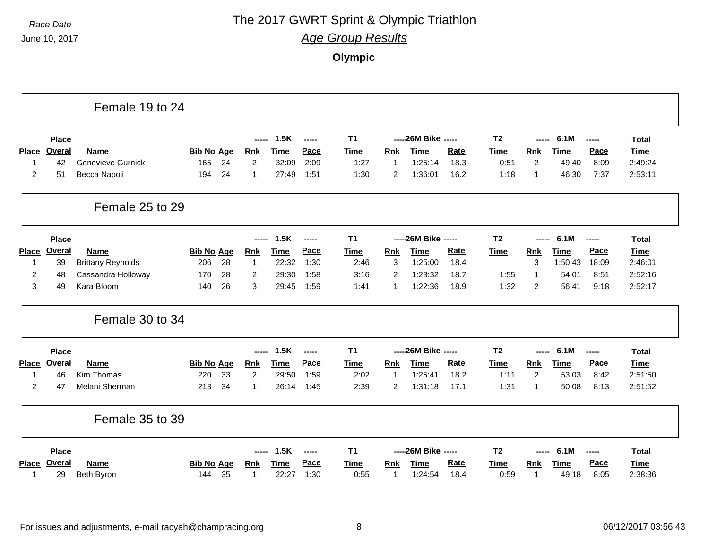### **Race Date The 2017 GWRT Sprint & Olympic Triathlon**

*Age Group Results*

**Olympic**

|                |               | Female 19 to 24          |                   |                |             |               |             |                |                      |      |                |                |             |       |              |
|----------------|---------------|--------------------------|-------------------|----------------|-------------|---------------|-------------|----------------|----------------------|------|----------------|----------------|-------------|-------|--------------|
|                | <b>Place</b>  |                          |                   | -----          | 1.5K        | $- - - - -$   | <b>T1</b>   |                | ----- 26M Bike ----- |      | T <sub>2</sub> | -----          | 6.1M        | ----- | <b>Total</b> |
| <b>Place</b>   | Overal        | <b>Name</b>              | <b>Bib No Age</b> | <b>Rnk</b>     | Time        | Pace          | <b>Time</b> | Rnk            | <b>Time</b>          | Rate | <b>Time</b>    | <b>Rnk</b>     | <b>Time</b> | Pace  | <b>Time</b>  |
| -1             | 42            | <b>Genevieve Gurnick</b> | 24<br>165         | $\overline{2}$ | 32:09       | 2:09          | 1:27        | $\mathbf 1$    | 1:25:14              | 18.3 | 0:51           | 2              | 49:40       | 8:09  | 2:49:24      |
| $\overline{c}$ | 51            | Becca Napoli             | 24<br>194         | $\mathbf{1}$   | 27:49       | 1:51          | 1:30        | $\overline{c}$ | 1:36:01              | 16.2 | 1:18           | $\mathbf{1}$   | 46:30       | 7:37  | 2:53:11      |
|                |               | Female 25 to 29          |                   |                |             |               |             |                |                      |      |                |                |             |       |              |
|                | <b>Place</b>  |                          |                   | -----          | 1.5K        | -----         | <b>T1</b>   |                | ----26M Bike -----   |      | T <sub>2</sub> | -----          | 6.1M        | ----- | <b>Total</b> |
| <b>Place</b>   | Overal        | <b>Name</b>              | <b>Bib No Age</b> | <b>Rnk</b>     | <b>Time</b> | Pace          | Time        | Rnk            | <b>Time</b>          | Rate | <b>Time</b>    | Rnk            | <b>Time</b> | Pace  | <b>Time</b>  |
| -1             | 39            | <b>Brittany Reynolds</b> | 28<br>206         | $\mathbf{1}$   | 22:32       | 1:30          | 2:46        | 3              | 1:25:00              | 18.4 |                | 3              | 1:50:43     | 18:09 | 2:46:01      |
| 2              | 48            | Cassandra Holloway       | 170<br>28         | $\overline{2}$ | 29:30       | 1:58          | 3:16        | $\overline{2}$ | 1:23:32              | 18.7 | 1:55           | $\mathbf{1}$   | 54:01       | 8:51  | 2:52:16      |
| 3              | 49            | Kara Bloom               | 140<br>26         | 3              | 29:45       | 1:59          | 1:41        | 1              | 1:22:36              | 18.9 | 1:32           | $\overline{2}$ | 56:41       | 9:18  | 2:52:17      |
|                |               | Female 30 to 34          |                   |                |             |               |             |                |                      |      |                |                |             |       |              |
|                | <b>Place</b>  |                          |                   |                | 1.5K        | $\frac{1}{2}$ | T1          |                | ----26M Bike -----   |      | T <sub>2</sub> |                | 6.1M        | ----- | <b>Total</b> |
| <b>Place</b>   | <b>Overal</b> | <b>Name</b>              | <b>Bib No Age</b> | <b>Rnk</b>     | <b>Time</b> | Pace          | <b>Time</b> | Rnk            | <b>Time</b>          | Rate | <b>Time</b>    | Rnk            | <b>Time</b> | Pace  | <b>Time</b>  |
| 1              | 46            | Kim Thomas               | 33<br>220         | 2              | 29:50       | 1:59          | 2:02        | -1             | 1:25:41              | 18.2 | 1:11           | 2              | 53:03       | 8:42  | 2:51:50      |
| 2              | 47            | Melani Sherman           | 213<br>34         | 1              | 26:14       | 1:45          | 2:39        | $\overline{2}$ | 1:31:18              | 17.1 | 1:31           | $\mathbf{1}$   | 50:08       | 8:13  | 2:51:52      |
|                |               | Female 35 to 39          |                   |                |             |               |             |                |                      |      |                |                |             |       |              |
|                | Place         |                          |                   |                | 1.5K        | -----         | T1          |                | ----26M Bike -----   |      | T <sub>2</sub> |                | 6.1M        | ----- | <b>Total</b> |
| <b>Place</b>   | <b>Overal</b> | <b>Name</b>              | <b>Bib No Age</b> | <b>Rnk</b>     | <b>Time</b> | Pace          | Time        | <b>Rnk</b>     | <b>Time</b>          | Rate | <b>Time</b>    | Rnk            | <b>Time</b> | Pace  | <b>Time</b>  |
| 1              | 29            | Beth Byron               | 35<br>144         | 1              | 22:27       | 1:30          | 0:55        | -1             | 1:24:54              | 18.4 | 0:59           | $\mathbf{1}$   | 49:18       | 8:05  | 2:38:36      |

For issues and adjustments, e-mail racyah@champracing.org 8 06/12/2017 03:56:43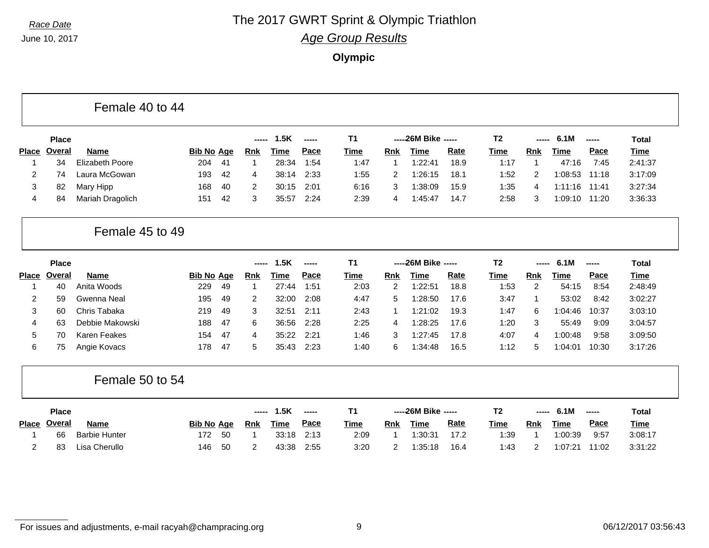## **Race Date The 2017 GWRT Sprint & Olympic Triathlon**

*Age Group Results*

**Olympic**

|                |               | Female 40 to 44        |                   |    |                |             |       |                |                |                      |      |                |                |         |       |              |
|----------------|---------------|------------------------|-------------------|----|----------------|-------------|-------|----------------|----------------|----------------------|------|----------------|----------------|---------|-------|--------------|
|                | <b>Place</b>  |                        |                   |    | -----          | 1.5K        | ----- | T <sub>1</sub> |                | ----- 26M Bike ----- |      | T <sub>2</sub> | -----          | 6.1M    | ----- | <b>Total</b> |
| <b>Place</b>   | <b>Overal</b> | Name                   | <b>Bib No Age</b> |    | <b>Rnk</b>     | <b>Time</b> | Pace  | <b>Time</b>    | Rnk            | <b>Time</b>          | Rate | <b>Time</b>    | <b>Rnk</b>     | Time    | Pace  | <b>Time</b>  |
| -1             | 34            | <b>Elizabeth Poore</b> | 204               | 41 | $\overline{1}$ | 28:34       | 1:54  | 1:47           | $\mathbf 1$    | 1:22:41              | 18.9 | 1:17           | $\mathbf 1$    | 47:16   | 7:45  | 2:41:37      |
| 2              | 74            | Laura McGowan          | 193               | 42 | 4              | 38:14       | 2:33  | 1:55           | 2              | 1:26:15              | 18.1 | 1:52           | 2              | 1:08:53 | 11:18 | 3:17:09      |
| 3              | 82            | Mary Hipp              | 168               | 40 | 2              | 30:15       | 2:01  | 6:16           | 3              | 1:38:09              | 15.9 | 1:35           | 4              | 1:11:16 | 11:41 | 3:27:34      |
| 4              | 84            | Mariah Dragolich       | 151               | 42 | 3              | 35:57       | 2:24  | 2:39           | 4              | 1:45:47              | 14.7 | 2:58           | 3              | 1:09:10 | 11:20 | 3:36:33      |
|                |               | Female 45 to 49        |                   |    |                |             |       |                |                |                      |      |                |                |         |       |              |
|                | <b>Place</b>  |                        |                   |    | -----          | 1.5K        | ----- | T <sub>1</sub> |                | ----- 26M Bike ----- |      | T <sub>2</sub> | -----          | 6.1M    | ----- | <b>Total</b> |
| <b>Place</b>   | <b>Overal</b> | <b>Name</b>            | <b>Bib No Age</b> |    | <u>Rnk</u>     | Time        | Pace  | <b>Time</b>    | <b>Rnk</b>     | <b>Time</b>          | Rate | <b>Time</b>    | Rnk            | Time    | Pace  | <b>Time</b>  |
| 1              | 40            | Anita Woods            | 229               | 49 | -1             | 27:44       | 1:51  | 2:03           | $\overline{2}$ | 1:22:51              | 18.8 | 1:53           | $\overline{c}$ | 54:15   | 8:54  | 2:48:49      |
| 2              | 59            | Gwenna Neal            | 195               | 49 | 2              | 32:00       | 2:08  | 4:47           | 5              | 1:28:50              | 17.6 | 3:47           | $\mathbf{1}$   | 53:02   | 8:42  | 3:02:27      |
| 3              | 60            | Chris Tabaka           | 219               | 49 | 3              | 32:51       | 2:11  | 2:43           | -1             | 1:21:02              | 19.3 | 1:47           | 6              | 1:04:46 | 10:37 | 3:03:10      |
| 4              | 63            | Debbie Makowski        | 188               | 47 | 6              | 36:56       | 2:28  | 2:25           | $\overline{4}$ | 1:28:25              | 17.6 | 1:20           | 3              | 55:49   | 9:09  | 3:04:57      |
| 5              | 70            | Karen Feakes           | 154               | 47 | 4              | 35:22       | 2:21  | 1:46           | 3              | 1:27:45              | 17.8 | 4:07           | 4              | 1:00:48 | 9:58  | 3:09:50      |
| 6              | 75            | Angie Kovacs           | 178               | 47 | 5              | 35:43       | 2:23  | 1:40           | 6              | 1:34:48              | 16.5 | 1:12           | 5              | 1:04:01 | 10:30 | 3:17:26      |
|                |               | Female 50 to 54        |                   |    |                |             |       |                |                |                      |      |                |                |         |       |              |
|                | <b>Place</b>  |                        |                   |    | -----          | 1.5K        | ----- | <b>T1</b>      |                | ----- 26M Bike ----- |      | T <sub>2</sub> |                | 6.1M    | ----- | <b>Total</b> |
|                | Place Overal  | <b>Name</b>            | <b>Bib No Age</b> |    | <u>Rnk</u>     | <b>Time</b> | Pace  | <b>Time</b>    | <b>Rnk</b>     | <b>Time</b>          | Rate | <b>Time</b>    | <b>Rnk</b>     | Time    | Pace  | Time         |
| 1              | 66            | <b>Barbie Hunter</b>   | 172               | 50 | -1             | 33:18       | 2:13  | 2:09           | $\overline{1}$ | 1:30:31              | 17.2 | 1:39           | $\mathbf 1$    | 1:00:39 | 9:57  | 3:08:17      |
| $\overline{2}$ | 83            | Lisa Cherullo          | 146               | 50 | 2              | 43:38       | 2:55  | 3:20           | $\overline{2}$ | 1:35:18              | 16.4 | 1:43           | $\overline{2}$ | 1:07:21 | 11:02 | 3:31:22      |

For issues and adjustments, e-mail racyah@champracing.org 06/12/2017 03:56:43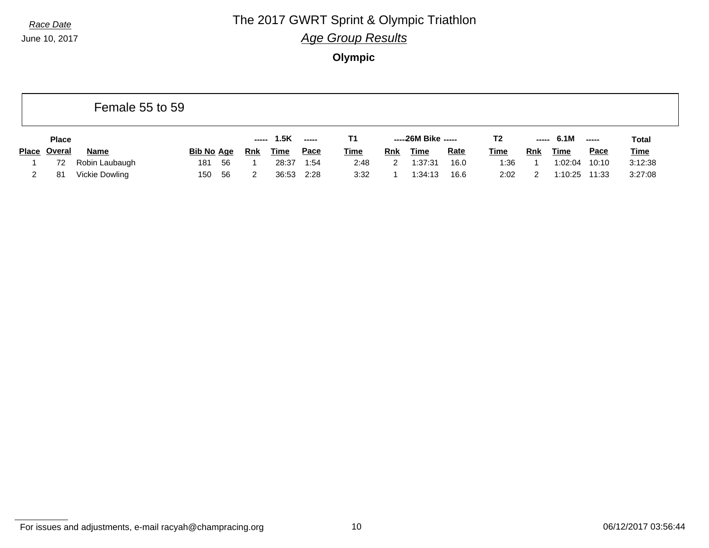### **Race Date The 2017 GWRT Sprint & Olympic Triathlon**

*Age Group Results*

**Olympic**

|       |               | Female 55 to 59 |                   |            |             |             |             |     |                     |             |                |     |             |               |             |
|-------|---------------|-----------------|-------------------|------------|-------------|-------------|-------------|-----|---------------------|-------------|----------------|-----|-------------|---------------|-------------|
|       | <b>Place</b>  |                 |                   |            | ----- 1.5K  | $---$       | T1.         |     | -----26M Bike ----- |             | T <sub>2</sub> |     | ----- 6.1M  | $\frac{1}{2}$ | Total       |
| Place | <u>Overal</u> | <b>Name</b>     | <b>Bib No Age</b> | <b>Rnk</b> | <b>Time</b> | <u>Pace</u> | <b>Time</b> | Rnk | <b>Time</b>         | <b>Rate</b> | <u>Time</u>    | Rnk | <b>Time</b> | <b>Pace</b>   | <b>Time</b> |
|       | 72            | Robin Laubaugh  | 181<br>56         |            | 28:37       | 1:54        | 2:48        | 2   | 1:37:31             | 16.0        | 1:36           |     | 1:02:04     | 10:10         | 3:12:38     |
|       | 81            | Vickie Dowling  | -56<br>150        |            | 36:53       | 2:28        | 3:32        |     | 1:34:13             | 16.6        | 2:02           |     | 1:10:25     | 11:33         | 3:27:08     |

For issues and adjustments, e-mail racyah@champracing.org 10 06/12/2017 03:56:44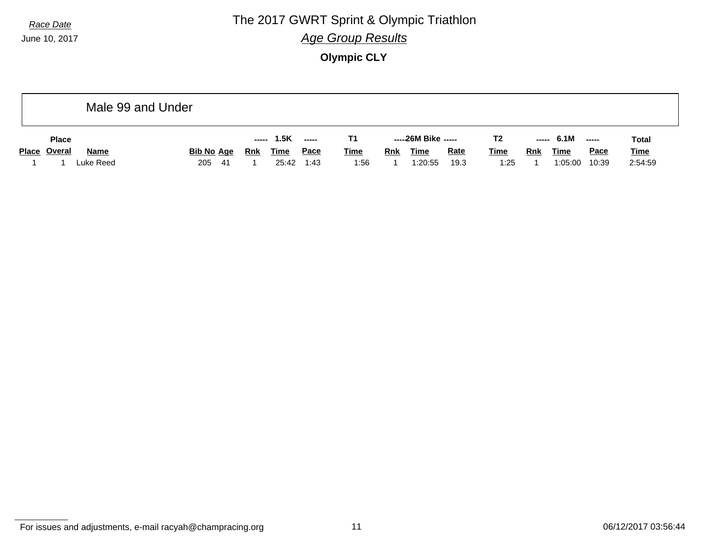**Race Date The 2017 GWRT Sprint & Olympic Triathlon** *Age Group Results*

**Olympic CLY**

|              |              |             | Male 99 and Under |                   |     |       |             |      |             |            |                     |             |                |     |             |             |             |
|--------------|--------------|-------------|-------------------|-------------------|-----|-------|-------------|------|-------------|------------|---------------------|-------------|----------------|-----|-------------|-------------|-------------|
|              | <b>Place</b> |             |                   |                   |     | ----- | 1.5K        |      | T1          |            | -----26M Bike ----- |             | T <sub>2</sub> |     | $--- 6.1M$  | -----       | Total       |
| Place Overal |              | <b>Name</b> |                   | <u>Bib No Age</u> |     | Rnk   | <b>Time</b> | Pace | <b>Time</b> | <b>Rnk</b> | <b>Time</b>         | <b>Rate</b> | <b>Time</b>    | Rnk | <b>Time</b> | <b>Pace</b> | <b>Time</b> |
|              |              | Luke Reed   |                   | 205               | -41 |       | 25:42       | 1:43 | 1:56        |            | 1:20:55             | 19.3        | 1:25           |     | 1:05:00     | 10:39       | 2:54:59     |